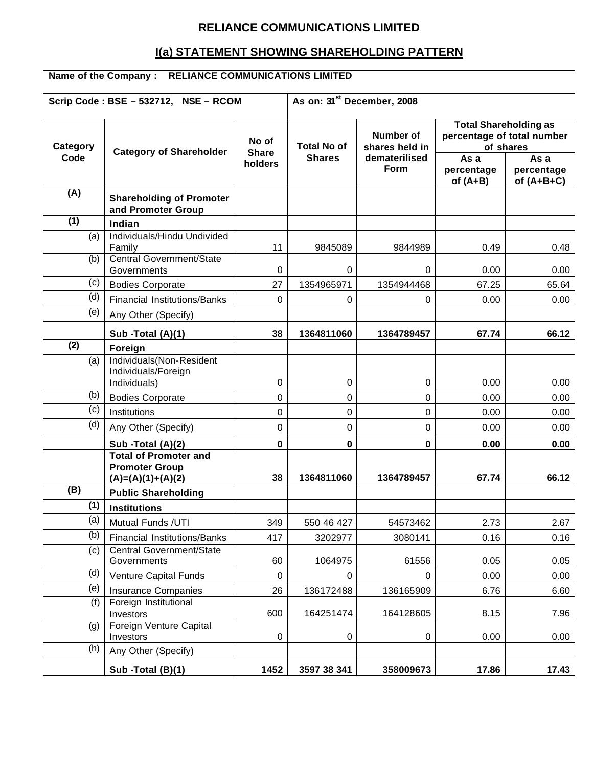## **RELIANCE COMMUNICATIONS LIMITED**

# **I(a) STATEMENT SHOWING SHAREHOLDING PATTERN**

| Name of the Company : RELIANCE COMMUNICATIONS LIMITED |                                                                              |                                        |                                     |                                                      |                                                                                  |                                 |
|-------------------------------------------------------|------------------------------------------------------------------------------|----------------------------------------|-------------------------------------|------------------------------------------------------|----------------------------------------------------------------------------------|---------------------------------|
|                                                       | Scrip Code: BSE - 532712, NSE - RCOM                                         | As on: 31 <sup>st</sup> December, 2008 |                                     |                                                      |                                                                                  |                                 |
| Category<br>Code                                      | <b>Category of Shareholder</b>                                               | No of<br><b>Share</b><br>holders       | <b>Total No of</b><br><b>Shares</b> | Number of<br>shares held in<br>dematerilised<br>Form | <b>Total Shareholding as</b><br>percentage of total number<br>As a<br>percentage | of shares<br>As a<br>percentage |
| (A)                                                   | <b>Shareholding of Promoter</b><br>and Promoter Group                        |                                        |                                     |                                                      | of $(A+B)$                                                                       | of $(A+B+C)$                    |
| (1)                                                   | Indian                                                                       |                                        |                                     |                                                      |                                                                                  |                                 |
| (a)                                                   | Individuals/Hindu Undivided<br>Family                                        | 11                                     | 9845089                             | 9844989                                              | 0.49                                                                             | 0.48                            |
| (b)                                                   | Central Government/State<br>Governments                                      | 0                                      | 0                                   | 0                                                    | 0.00                                                                             | 0.00                            |
| (c)                                                   | <b>Bodies Corporate</b>                                                      | 27                                     | 1354965971                          | 1354944468                                           | 67.25                                                                            | 65.64                           |
| (d)                                                   | <b>Financial Institutions/Banks</b>                                          | $\Omega$                               | 0                                   | 0                                                    | 0.00                                                                             | 0.00                            |
| (e)                                                   | Any Other (Specify)                                                          |                                        |                                     |                                                      |                                                                                  |                                 |
|                                                       | Sub -Total (A)(1)                                                            | 38                                     | 1364811060                          | 1364789457                                           | 67.74                                                                            | 66.12                           |
| (2)                                                   | Foreign                                                                      |                                        |                                     |                                                      |                                                                                  |                                 |
| (a)                                                   | Individuals(Non-Resident<br>Individuals/Foreign<br>Individuals)              | $\mathbf 0$                            | $\mathbf 0$                         | 0                                                    | 0.00                                                                             | 0.00                            |
| (b)                                                   | <b>Bodies Corporate</b>                                                      | 0                                      | 0                                   | 0                                                    | 0.00                                                                             | 0.00                            |
| (c)                                                   | Institutions                                                                 | 0                                      | 0                                   | 0                                                    | 0.00                                                                             | 0.00                            |
| (d)                                                   | Any Other (Specify)                                                          | $\mathbf 0$                            | $\Omega$                            | $\Omega$                                             | 0.00                                                                             | 0.00                            |
|                                                       | Sub -Total (A)(2)                                                            | $\bf{0}$                               | 0                                   | $\bf{0}$                                             | 0.00                                                                             | 0.00                            |
|                                                       | <b>Total of Promoter and</b><br><b>Promoter Group</b><br>$(A)=(A)(1)+(A)(2)$ | 38                                     | 1364811060                          | 1364789457                                           | 67.74                                                                            | 66.12                           |
| (B)                                                   | <b>Public Shareholding</b>                                                   |                                        |                                     |                                                      |                                                                                  |                                 |
| (1)                                                   | <b>Institutions</b>                                                          |                                        |                                     |                                                      |                                                                                  |                                 |
| (a)                                                   | Mutual Funds /UTI                                                            | 349                                    | 550 46 427                          | 54573462                                             | 2.73                                                                             | 2.67                            |
| (b)                                                   | <b>Financial Institutions/Banks</b>                                          | 417                                    | 3202977                             | 3080141                                              | 0.16                                                                             | 0.16                            |
| (c)                                                   | <b>Central Government/State</b><br>Governments                               | 60                                     | 1064975                             | 61556                                                | 0.05                                                                             | 0.05                            |
| (d)                                                   | <b>Venture Capital Funds</b>                                                 | $\mathbf 0$                            | 0                                   | 0                                                    | 0.00                                                                             | 0.00                            |
| (e)                                                   | <b>Insurance Companies</b>                                                   | 26                                     | 136172488                           | 136165909                                            | 6.76                                                                             | 6.60                            |
| (f)                                                   | Foreign Institutional<br>Investors                                           | 600                                    | 164251474                           | 164128605                                            | 8.15                                                                             | 7.96                            |
| (g)                                                   | Foreign Venture Capital<br>Investors                                         | $\boldsymbol{0}$                       | 0                                   | 0                                                    | 0.00                                                                             | 0.00                            |
| (h)                                                   | Any Other (Specify)<br>Sub -Total (B)(1)                                     | 1452                                   | 3597 38 341                         | 358009673                                            | 17.86                                                                            | 17.43                           |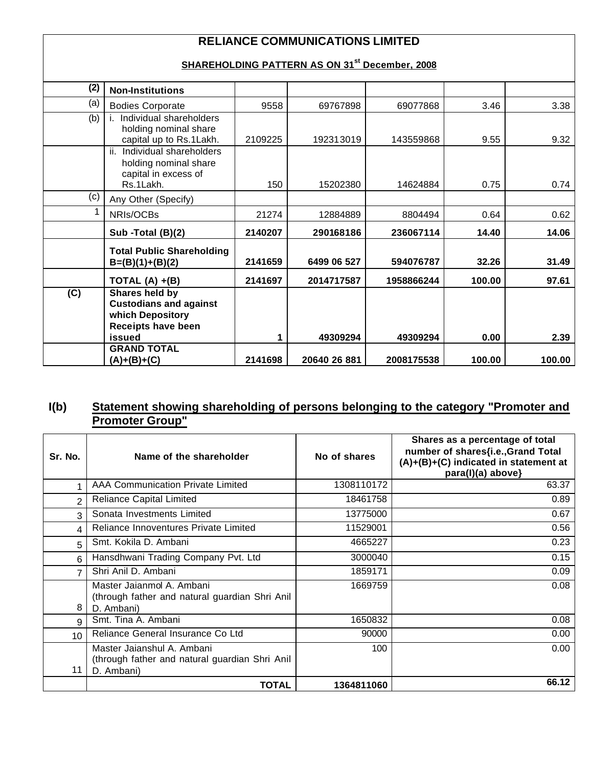# **RELIANCE COMMUNICATIONS LIMITED**

## **SHAREHOLDING PATTERN AS ON 31st December, 2008**

| (2) | <b>Non-Institutions</b>                                                                   |         |              |            |        |        |
|-----|-------------------------------------------------------------------------------------------|---------|--------------|------------|--------|--------|
| (a) | <b>Bodies Corporate</b>                                                                   | 9558    | 69767898     | 69077868   | 3.46   | 3.38   |
| (b) | Individual shareholders<br>holding nominal share<br>capital up to Rs.1Lakh.               | 2109225 | 192313019    | 143559868  | 9.55   | 9.32   |
|     | ii. Individual shareholders<br>holding nominal share<br>capital in excess of<br>Rs.1Lakh. | 150     | 15202380     | 14624884   | 0.75   | 0.74   |
| (c) | Any Other (Specify)                                                                       |         |              |            |        |        |
| 1   | NRIs/OCBs                                                                                 | 21274   | 12884889     | 8804494    | 0.64   | 0.62   |
|     | Sub -Total (B)(2)                                                                         | 2140207 | 290168186    | 236067114  | 14.40  | 14.06  |
|     | <b>Total Public Shareholding</b><br>$B=(B)(1)+(B)(2)$                                     | 2141659 | 6499 06 527  | 594076787  | 32.26  | 31.49  |
|     | TOTAL $(A) + (B)$                                                                         | 2141697 | 2014717587   | 1958866244 | 100.00 | 97.61  |
| (C) | Shares held by<br><b>Custodians and against</b><br>which Depository<br>Receipts have been |         |              |            |        |        |
|     | issued                                                                                    | 1       | 49309294     | 49309294   | 0.00   | 2.39   |
|     | <b>GRAND TOTAL</b><br>(A)+(B)+(C)                                                         | 2141698 | 20640 26 881 | 2008175538 | 100.00 | 100.00 |

### **I(b) Statement showing shareholding of persons belonging to the category "Promoter and Promoter Group"**

| Sr. No.        | Name of the shareholder                                                                    | No of shares | Shares as a percentage of total<br>number of shares{i.e., Grand Total<br>(A)+(B)+(C) indicated in statement at<br>para(l)(a) above} |
|----------------|--------------------------------------------------------------------------------------------|--------------|-------------------------------------------------------------------------------------------------------------------------------------|
|                | <b>AAA Communication Private Limited</b>                                                   | 1308110172   | 63.37                                                                                                                               |
| $\overline{2}$ | <b>Reliance Capital Limited</b>                                                            | 18461758     | 0.89                                                                                                                                |
| $\mathcal{R}$  | Sonata Investments Limited                                                                 | 13775000     | 0.67                                                                                                                                |
| 4              | Reliance Innoventures Private Limited                                                      | 11529001     | 0.56                                                                                                                                |
| 5              | Smt. Kokila D. Ambani                                                                      | 4665227      | 0.23                                                                                                                                |
| 6              | Hansdhwani Trading Company Pvt. Ltd                                                        | 3000040      | 0.15                                                                                                                                |
| 7              | Shri Anil D. Ambani                                                                        | 1859171      | 0.09                                                                                                                                |
| 8              | Master Jaianmol A. Ambani<br>(through father and natural guardian Shri Anil<br>D. Ambani)  | 1669759      | 0.08                                                                                                                                |
| 9              | Smt. Tina A. Ambani                                                                        | 1650832      | 0.08                                                                                                                                |
| 10             | Reliance General Insurance Co Ltd                                                          | 90000        | 0.00                                                                                                                                |
| 11             | Master Jaianshul A. Ambani<br>(through father and natural guardian Shri Anil<br>D. Ambani) | 100          | 0.00                                                                                                                                |
|                | <b>TOTAL</b>                                                                               | 1364811060   | 66.12                                                                                                                               |